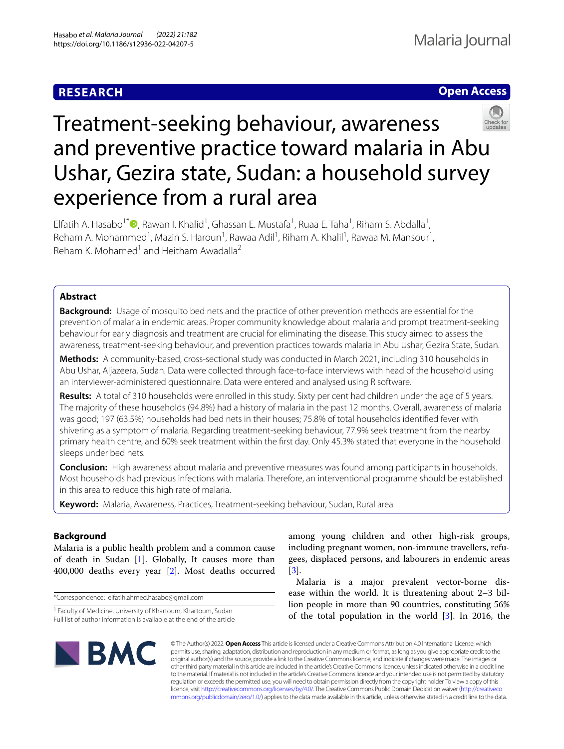## **RESEARCH**





# Treatment-seeking behaviour, awareness and preventive practice toward malaria in Abu Ushar, Gezira state, Sudan: a household survey experience from a rural area

Elfatih A. Hasabo<sup>1[\\*](http://orcid.org/0000-0001-9727-8620)</sup> (D, Rawan I. Khalid<sup>1</sup>, Ghassan E. Mustafa<sup>1</sup>, Ruaa E. Taha<sup>1</sup>, Riham S. Abdalla<sup>1</sup>, Reham A. Mohammed<sup>1</sup>, Mazin S. Haroun<sup>1</sup>, Rawaa Adil<sup>1</sup>, Riham A. Khalil<sup>1</sup>, Rawaa M. Mansour<sup>1</sup>, Reham K. Mohamed<sup>1</sup> and Heitham Awadalla<sup>2</sup>

## **Abstract**

**Background:** Usage of mosquito bed nets and the practice of other prevention methods are essential for the prevention of malaria in endemic areas. Proper community knowledge about malaria and prompt treatment-seeking behaviour for early diagnosis and treatment are crucial for eliminating the disease. This study aimed to assess the awareness, treatment-seeking behaviour, and prevention practices towards malaria in Abu Ushar, Gezira State, Sudan.

**Methods:** A community-based, cross-sectional study was conducted in March 2021, including 310 households in Abu Ushar, Aljazeera, Sudan. Data were collected through face-to-face interviews with head of the household using an interviewer-administered questionnaire. Data were entered and analysed using R software.

**Results:** A total of 310 households were enrolled in this study. Sixty per cent had children under the age of 5 years. The majority of these households (94.8%) had a history of malaria in the past 12 months. Overall, awareness of malaria was good; 197 (63.5%) households had bed nets in their houses; 75.8% of total households identifed fever with shivering as a symptom of malaria. Regarding treatment-seeking behaviour, 77.9% seek treatment from the nearby primary health centre, and 60% seek treatment within the frst day. Only 45.3% stated that everyone in the household sleeps under bed nets.

**Conclusion:** High awareness about malaria and preventive measures was found among participants in households. Most households had previous infections with malaria. Therefore, an interventional programme should be established in this area to reduce this high rate of malaria.

**Keyword:** Malaria, Awareness, Practices, Treatment-seeking behaviour, Sudan, Rural area

## **Background**

Malaria is a public health problem and a common cause of death in Sudan [\[1](#page-8-0)]. Globally, It causes more than 400,000 deaths every year [\[2](#page-8-1)]. Most deaths occurred

\*Correspondence: elfatih.ahmed.hasabo@gmail.com

among young children and other high-risk groups, including pregnant women, non-immune travellers, refugees, displaced persons, and labourers in endemic areas [[3\]](#page-8-2).

Malaria is a major prevalent vector-borne disease within the world. It is threatening about 2–3 billion people in more than 90 countries, constituting 56% of the total population in the world  $[3]$  $[3]$ . In 2016, the



© The Author(s) 2022. **Open Access** This article is licensed under a Creative Commons Attribution 4.0 International License, which permits use, sharing, adaptation, distribution and reproduction in any medium or format, as long as you give appropriate credit to the original author(s) and the source, provide a link to the Creative Commons licence, and indicate if changes were made. The images or other third party material in this article are included in the article's Creative Commons licence, unless indicated otherwise in a credit line to the material. If material is not included in the article's Creative Commons licence and your intended use is not permitted by statutory regulation or exceeds the permitted use, you will need to obtain permission directly from the copyright holder. To view a copy of this licence, visit [http://creativecommons.org/licenses/by/4.0/.](http://creativecommons.org/licenses/by/4.0/) The Creative Commons Public Domain Dedication waiver ([http://creativeco](http://creativecommons.org/publicdomain/zero/1.0/) [mmons.org/publicdomain/zero/1.0/](http://creativecommons.org/publicdomain/zero/1.0/)) applies to the data made available in this article, unless otherwise stated in a credit line to the data.

<sup>&</sup>lt;sup>1</sup> Faculty of Medicine, University of Khartoum, Khartoum, Sudan Full list of author information is available at the end of the article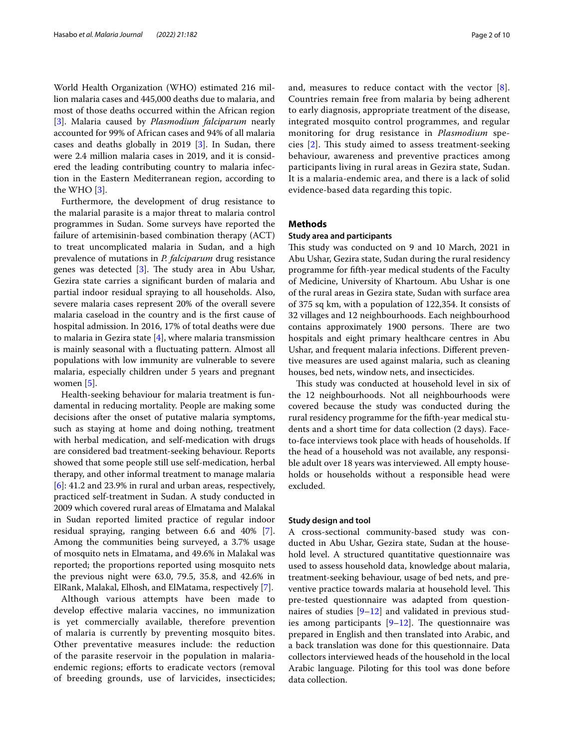World Health Organization (WHO) estimated 216 million malaria cases and 445,000 deaths due to malaria, and most of those deaths occurred within the African region [[3\]](#page-8-2). Malaria caused by *Plasmodium falciparum* nearly accounted for 99% of African cases and 94% of all malaria cases and deaths globally in 2019 [\[3](#page-8-2)]. In Sudan, there were 2.4 million malaria cases in 2019, and it is considered the leading contributing country to malaria infection in the Eastern Mediterranean region, according to the WHO [[3\]](#page-8-2).

Furthermore, the development of drug resistance to the malarial parasite is a major threat to malaria control programmes in Sudan. Some surveys have reported the failure of artemisinin-based combination therapy (ACT) to treat uncomplicated malaria in Sudan, and a high prevalence of mutations in *P. falciparum* drug resistance genes was detected  $[3]$  $[3]$ . The study area in Abu Ushar, Gezira state carries a signifcant burden of malaria and partial indoor residual spraying to all households. Also, severe malaria cases represent 20% of the overall severe malaria caseload in the country and is the frst cause of hospital admission. In 2016, 17% of total deaths were due to malaria in Gezira state [\[4\]](#page-8-3), where malaria transmission is mainly seasonal with a fuctuating pattern. Almost all populations with low immunity are vulnerable to severe malaria, especially children under 5 years and pregnant women [\[5](#page-8-4)].

Health-seeking behaviour for malaria treatment is fundamental in reducing mortality. People are making some decisions after the onset of putative malaria symptoms, such as staying at home and doing nothing, treatment with herbal medication, and self-medication with drugs are considered bad treatment-seeking behaviour. Reports showed that some people still use self-medication, herbal therapy, and other informal treatment to manage malaria [[6\]](#page-8-5): 41.2 and 23.9% in rural and urban areas, respectively, practiced self-treatment in Sudan. A study conducted in 2009 which covered rural areas of Elmatama and Malakal in Sudan reported limited practice of regular indoor residual spraying, ranging between 6.6 and 40% [\[7](#page-8-6)]. Among the communities being surveyed, a 3.7% usage of mosquito nets in Elmatama, and 49.6% in Malakal was reported; the proportions reported using mosquito nets the previous night were 63.0, 79.5, 35.8, and 42.6% in ElRank, Malakal, Elhosh, and ElMatama, respectively [\[7](#page-8-6)].

Although various attempts have been made to develop efective malaria vaccines, no immunization is yet commercially available, therefore prevention of malaria is currently by preventing mosquito bites. Other preventative measures include: the reduction of the parasite reservoir in the population in malariaendemic regions; efforts to eradicate vectors (removal of breeding grounds, use of larvicides, insecticides; and, measures to reduce contact with the vector [[8](#page-8-7)]. Countries remain free from malaria by being adherent to early diagnosis, appropriate treatment of the disease, integrated mosquito control programmes, and regular monitoring for drug resistance in *Plasmodium* species  $[2]$  $[2]$ . This study aimed to assess treatment-seeking behaviour, awareness and preventive practices among participants living in rural areas in Gezira state, Sudan. It is a malaria-endemic area, and there is a lack of solid evidence-based data regarding this topic.

## **Methods**

## **Study area and participants**

This study was conducted on 9 and 10 March, 2021 in Abu Ushar, Gezira state, Sudan during the rural residency programme for ffth-year medical students of the Faculty of Medicine, University of Khartoum. Abu Ushar is one of the rural areas in Gezira state, Sudan with surface area of 375 sq km, with a population of 122,354. It consists of 32 villages and 12 neighbourhoods. Each neighbourhood contains approximately 1900 persons. There are two hospitals and eight primary healthcare centres in Abu Ushar, and frequent malaria infections. Diferent preventive measures are used against malaria, such as cleaning houses, bed nets, window nets, and insecticides.

This study was conducted at household level in six of the 12 neighbourhoods. Not all neighbourhoods were covered because the study was conducted during the rural residency programme for the ffth-year medical students and a short time for data collection (2 days). Faceto-face interviews took place with heads of households. If the head of a household was not available, any responsible adult over 18 years was interviewed. All empty households or households without a responsible head were excluded.

## **Study design and tool**

A cross-sectional community-based study was conducted in Abu Ushar, Gezira state, Sudan at the household level. A structured quantitative questionnaire was used to assess household data, knowledge about malaria, treatment-seeking behaviour, usage of bed nets, and preventive practice towards malaria at household level. This pre-tested questionnaire was adapted from questionnaires of studies  $[9-12]$  $[9-12]$  and validated in previous studies among participants  $[9-12]$  $[9-12]$  $[9-12]$ . The questionnaire was prepared in English and then translated into Arabic, and a back translation was done for this questionnaire. Data collectors interviewed heads of the household in the local Arabic language. Piloting for this tool was done before data collection.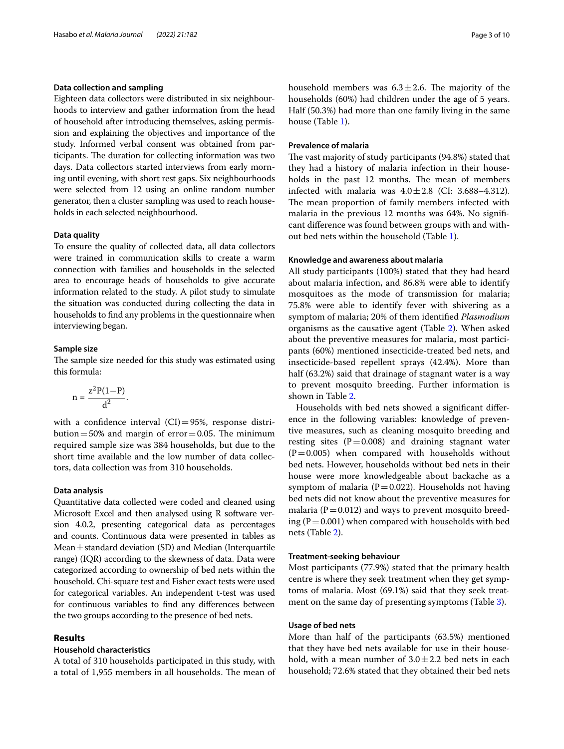## **Data collection and sampling**

Eighteen data collectors were distributed in six neighbourhoods to interview and gather information from the head of household after introducing themselves, asking permission and explaining the objectives and importance of the study. Informed verbal consent was obtained from participants. The duration for collecting information was two days. Data collectors started interviews from early morning until evening, with short rest gaps. Six neighbourhoods were selected from 12 using an online random number generator, then a cluster sampling was used to reach households in each selected neighbourhood.

## **Data quality**

To ensure the quality of collected data, all data collectors were trained in communication skills to create a warm connection with families and households in the selected area to encourage heads of households to give accurate information related to the study. A pilot study to simulate the situation was conducted during collecting the data in households to fnd any problems in the questionnaire when interviewing began.

## **Sample size**

The sample size needed for this study was estimated using this formula:

$$
n=\frac{z^2P(1-P)}{d^2}.
$$

with a confidence interval  $(CI) = 95\%$ , response distribution=50% and margin of  $error=0.05$ . The minimum required sample size was 384 households, but due to the short time available and the low number of data collectors, data collection was from 310 households.

## **Data analysis**

Quantitative data collected were coded and cleaned using Microsoft Excel and then analysed using R software version 4.0.2, presenting categorical data as percentages and counts. Continuous data were presented in tables as Mean±standard deviation (SD) and Median (Interquartile range) (IQR) according to the skewness of data. Data were categorized according to ownership of bed nets within the household. Chi-square test and Fisher exact tests were used for categorical variables. An independent t-test was used for continuous variables to fnd any diferences between the two groups according to the presence of bed nets.

## **Results**

## **Household characteristics**

A total of 310 households participated in this study, with a total of 1,955 members in all households. The mean of household members was  $6.3 \pm 2.6$ . The majority of the households (60%) had children under the age of 5 years. Half (50.3%) had more than one family living in the same house (Table [1](#page-3-0)).

## **Prevalence of malaria**

The vast majority of study participants (94.8%) stated that they had a history of malaria infection in their households in the past 12 months. The mean of members infected with malaria was  $4.0 \pm 2.8$  (CI: 3.688-4.312). The mean proportion of family members infected with malaria in the previous 12 months was 64%. No signifcant diference was found between groups with and without bed nets within the household (Table [1](#page-3-0)).

## **Knowledge and awareness about malaria**

All study participants (100%) stated that they had heard about malaria infection, and 86.8% were able to identify mosquitoes as the mode of transmission for malaria; 75.8% were able to identify fever with shivering as a symptom of malaria; 20% of them identifed *Plasmodium* organisms as the causative agent (Table [2](#page-4-0)). When asked about the preventive measures for malaria, most participants (60%) mentioned insecticide-treated bed nets, and insecticide-based repellent sprays (42.4%). More than half (63.2%) said that drainage of stagnant water is a way to prevent mosquito breeding. Further information is shown in Table [2.](#page-4-0)

Households with bed nets showed a signifcant diference in the following variables: knowledge of preventive measures, such as cleaning mosquito breeding and resting sites  $(P=0.008)$  and draining stagnant water  $(P=0.005)$  when compared with households without bed nets. However, households without bed nets in their house were more knowledgeable about backache as a symptom of malaria ( $P=0.022$ ). Households not having bed nets did not know about the preventive measures for malaria ( $P = 0.012$ ) and ways to prevent mosquito breeding ( $P = 0.001$ ) when compared with households with bed nets (Table [2\)](#page-4-0).

## **Treatment‑seeking behaviour**

Most participants (77.9%) stated that the primary health centre is where they seek treatment when they get symptoms of malaria. Most (69.1%) said that they seek treat-ment on the same day of presenting symptoms (Table [3\)](#page-5-0).

## **Usage of bed nets**

More than half of the participants (63.5%) mentioned that they have bed nets available for use in their household, with a mean number of  $3.0 \pm 2.2$  bed nets in each household; 72.6% stated that they obtained their bed nets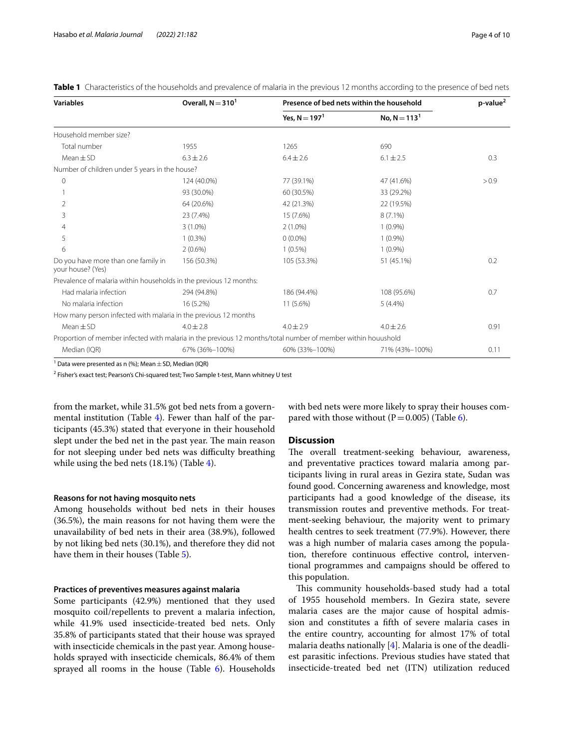<span id="page-3-0"></span>

|  |  |  |  |  | <b>Table 1</b> Characteristics of the households and prevalence of malaria in the previous 12 months according to the presence of bed nets |  |
|--|--|--|--|--|--------------------------------------------------------------------------------------------------------------------------------------------|--|
|--|--|--|--|--|--------------------------------------------------------------------------------------------------------------------------------------------|--|

| <b>Variables</b>                                                                                             | Overall, $N = 3101$ |                  | Presence of bed nets within the household |       |  |
|--------------------------------------------------------------------------------------------------------------|---------------------|------------------|-------------------------------------------|-------|--|
|                                                                                                              |                     | Yes, $N = 197^T$ | No, $N = 113^1$                           |       |  |
| Household member size?                                                                                       |                     |                  |                                           |       |  |
| Total number                                                                                                 | 1955                | 1265             | 690                                       |       |  |
| $Mean \pm SD$                                                                                                | $6.3 \pm 2.6$       | $6.4 \pm 2.6$    | $6.1 \pm 2.5$                             | 0.3   |  |
| Number of children under 5 years in the house?                                                               |                     |                  |                                           |       |  |
| 0                                                                                                            | 124 (40.0%)         | 77 (39.1%)       | 47 (41.6%)                                | > 0.9 |  |
|                                                                                                              | 93 (30.0%)          | 60 (30.5%)       | 33 (29.2%)                                |       |  |
| 2                                                                                                            | 64 (20.6%)          | 42 (21.3%)       | 22 (19.5%)                                |       |  |
| 3                                                                                                            | 23 (7.4%)           | 15 (7.6%)        | $8(7.1\%)$                                |       |  |
| 4                                                                                                            | $3(1.0\%)$          | $2(1.0\%)$       | $1(0.9\%)$                                |       |  |
| 5                                                                                                            | $1(0.3\%)$          | $0(0.0\%)$       | $1(0.9\%)$                                |       |  |
| 6                                                                                                            | $2(0.6\%)$          | $1(0.5\%)$       | $1(0.9\%)$                                |       |  |
| Do you have more than one family in<br>your house? (Yes)                                                     | 156 (50.3%)         | 105 (53.3%)      | 51 (45.1%)                                | 0.2   |  |
| Prevalence of malaria within households in the previous 12 months:                                           |                     |                  |                                           |       |  |
| Had malaria infection                                                                                        | 294 (94.8%)         | 186 (94.4%)      | 108 (95.6%)                               | 0.7   |  |
| No malaria infection                                                                                         | 16 (5.2%)           | $11(5.6\%)$      | $5(4.4\%)$                                |       |  |
| How many person infected with malaria in the previous 12 months                                              |                     |                  |                                           |       |  |
| $Mean + SD$                                                                                                  | $4.0 \pm 2.8$       | $4.0 + 2.9$      | $4.0 \pm 2.6$                             | 0.91  |  |
| Proportion of member infected with malaria in the previous 12 months/total number of member within houushold |                     |                  |                                           |       |  |
| Median (IQR)                                                                                                 | 67% (36%-100%)      | 60% (33%-100%)   | 71% (43%-100%)                            | 0.11  |  |

<sup>1</sup> Data were presented as n (%); Mean  $\pm$  SD, Median (IQR)

 $^2$  Fisher's exact test; Pearson's Chi-squared test; Two Sample t-test, Mann whitney U test

from the market, while 31.5% got bed nets from a governmental institution (Table [4](#page-6-0)). Fewer than half of the participants (45.3%) stated that everyone in their household slept under the bed net in the past year. The main reason for not sleeping under bed nets was difficulty breathing while using the bed nets (18.1%) (Table [4\)](#page-6-0).

## **Reasons for not having mosquito nets**

Among households without bed nets in their houses (36.5%), the main reasons for not having them were the unavailability of bed nets in their area (38.9%), followed by not liking bed nets (30.1%), and therefore they did not have them in their houses (Table [5\)](#page-6-1).

## **Practices of preventives measures against malaria**

Some participants (42.9%) mentioned that they used mosquito coil/repellents to prevent a malaria infection, while 41.9% used insecticide-treated bed nets. Only 35.8% of participants stated that their house was sprayed with insecticide chemicals in the past year. Among households sprayed with insecticide chemicals, 86.4% of them sprayed all rooms in the house (Table [6](#page-7-0)). Households with bed nets were more likely to spray their houses compared with those without ( $P = 0.005$ ) (Table [6\)](#page-7-0).

## **Discussion**

The overall treatment-seeking behaviour, awareness, and preventative practices toward malaria among participants living in rural areas in Gezira state, Sudan was found good. Concerning awareness and knowledge, most participants had a good knowledge of the disease, its transmission routes and preventive methods. For treatment-seeking behaviour, the majority went to primary health centres to seek treatment (77.9%). However, there was a high number of malaria cases among the population, therefore continuous efective control, interventional programmes and campaigns should be ofered to this population.

This community households-based study had a total of 1955 household members. In Gezira state, severe malaria cases are the major cause of hospital admission and constitutes a ffth of severe malaria cases in the entire country, accounting for almost 17% of total malaria deaths nationally [\[4](#page-8-3)]. Malaria is one of the deadliest parasitic infections. Previous studies have stated that insecticide-treated bed net (ITN) utilization reduced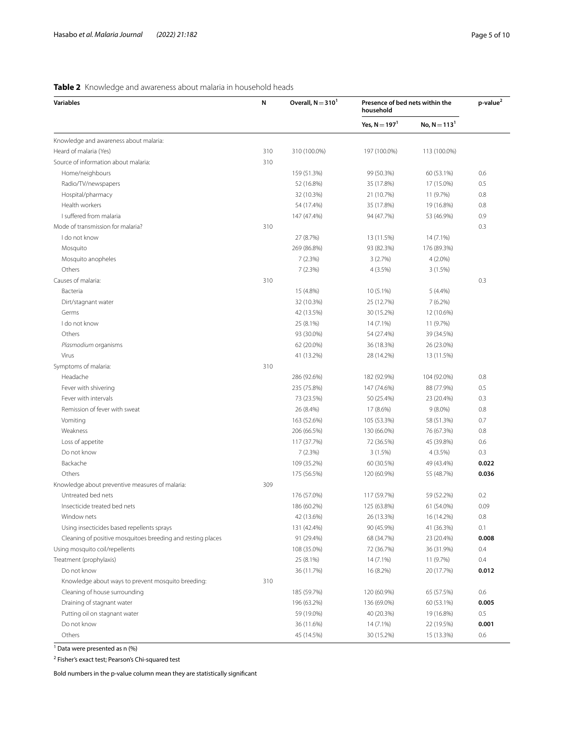## <span id="page-4-0"></span>**Table 2** Knowledge and awareness about malaria in household heads

| Yes, $N = 197^1$<br>No, $N = 1131$<br>Knowledge and awareness about malaria:                          |       |
|-------------------------------------------------------------------------------------------------------|-------|
|                                                                                                       |       |
|                                                                                                       |       |
| Heard of malaria (Yes)<br>310<br>310 (100.0%)<br>197 (100.0%)<br>113 (100.0%)                         |       |
| Source of information about malaria:<br>310                                                           |       |
| Home/neighbours<br>159 (51.3%)<br>99 (50.3%)<br>60 (53.1%)                                            | 0.6   |
| Radio/TV/newspapers<br>52 (16.8%)<br>35 (17.8%)<br>17 (15.0%)                                         | 0.5   |
| Hospital/pharmacy<br>32 (10.3%)<br>21 (10.7%)<br>11 (9.7%)                                            | 0.8   |
| Health workers<br>54 (17.4%)<br>35 (17.8%)<br>19 (16.8%)                                              | 0.8   |
| I suffered from malaria<br>147 (47.4%)<br>94 (47.7%)<br>53 (46.9%)                                    | 0.9   |
| Mode of transmission for malaria?<br>310                                                              | 0.3   |
| I do not know<br>27 (8.7%)<br>13 (11.5%)<br>14 (7.1%)                                                 |       |
| Mosquito<br>269 (86.8%)<br>93 (82.3%)<br>176 (89.3%)                                                  |       |
| Mosquito anopheles<br>7(2.3%)<br>3(2.7%)<br>$4(2.0\%)$                                                |       |
| Others<br>7(2.3%)<br>4 (3.5%)<br>3(1.5%)                                                              |       |
| Causes of malaria:<br>310                                                                             | 0.3   |
| Bacteria<br>15 (4.8%)<br>10 (5.1%)<br>$5(4.4\%)$                                                      |       |
| Dirt/stagnant water<br>32 (10.3%)<br>25 (12.7%)<br>7(6.2%)                                            |       |
| 12 (10.6%)<br>Germs<br>42 (13.5%)<br>30 (15.2%)                                                       |       |
| I do not know<br>25 (8.1%)<br>11 (9.7%)<br>14 (7.1%)                                                  |       |
| Others<br>93 (30.0%)<br>54 (27.4%)<br>39 (34.5%)                                                      |       |
| Plasmodium organisms<br>62 (20.0%)<br>36 (18.3%)<br>26 (23.0%)                                        |       |
| Virus<br>41 (13.2%)<br>28 (14.2%)<br>13 (11.5%)                                                       |       |
| Symptoms of malaria:<br>310                                                                           |       |
| Headache<br>286 (92.6%)<br>182 (92.9%)<br>104 (92.0%)                                                 | 0.8   |
| Fever with shivering<br>235 (75.8%)<br>147 (74.6%)<br>88 (77.9%)                                      | 0.5   |
| Fever with intervals<br>73 (23.5%)<br>50 (25.4%)<br>23 (20.4%)                                        | 0.3   |
| Remission of fever with sweat<br>26 (8.4%)<br>$9(8.0\%)$<br>17 (8.6%)                                 | 0.8   |
| Vomiting<br>58 (51.3%)<br>163 (52.6%)<br>105 (53.3%)                                                  | 0.7   |
| Weakness<br>206 (66.5%)<br>130 (66.0%)<br>76 (67.3%)                                                  | 0.8   |
| Loss of appetite<br>117 (37.7%)<br>72 (36.5%)<br>45 (39.8%)                                           | 0.6   |
| Do not know<br>7(2.3%)<br>3(1.5%)<br>4(3.5%)                                                          | 0.3   |
| Backache<br>109 (35.2%)<br>60 (30.5%)<br>49 (43.4%)                                                   | 0.022 |
| Others<br>175 (56.5%)<br>120 (60.9%)<br>55 (48.7%)                                                    | 0.036 |
| 309<br>Knowledge about preventive measures of malaria:                                                |       |
| Untreated bed nets<br>176 (57.0%)<br>117 (59.7%)<br>59 (52.2%)                                        | 0.2   |
| Insecticide treated bed nets<br>186 (60.2%)<br>125 (63.8%)<br>61 (54.0%)                              | 0.09  |
| 42 (13.6%)<br>26 (13.3%)<br>16 (14.2%)<br>Window nets                                                 | 0.8   |
| Using insecticides based repellents sprays<br>131 (42.4%)<br>90 (45.9%)<br>41 (36.3%)                 | 0.1   |
| Cleaning of positive mosquitoes breeding and resting places<br>91 (29.4%)<br>68 (34.7%)<br>23 (20.4%) | 0.008 |
| Using mosquito coil/repellents<br>72 (36.7%)<br>108 (35.0%)<br>36 (31.9%)                             | 0.4   |
| Treatment (prophylaxis)<br>25 (8.1%)<br>14 (7.1%)<br>11 (9.7%)                                        | 0.4   |
| Do not know<br>36 (11.7%)<br>16 (8.2%)<br>20 (17.7%)                                                  | 0.012 |
| 310<br>Knowledge about ways to prevent mosquito breeding:                                             |       |
| Cleaning of house surrounding<br>185 (59.7%)<br>120 (60.9%)<br>65 (57.5%)                             | 0.6   |
| Draining of stagnant water<br>196 (63.2%)<br>136 (69.0%)<br>60 (53.1%)                                | 0.005 |
| Putting oil on stagnant water<br>59 (19.0%)<br>40 (20.3%)<br>19 (16.8%)                               | 0.5   |
| Do not know<br>36 (11.6%)<br>14 (7.1%)<br>22 (19.5%)                                                  | 0.001 |
| Others<br>45 (14.5%)<br>30 (15.2%)<br>15 (13.3%)                                                      | 0.6   |

<sup>1</sup> Data were presented as n (%)

<sup>2</sup> Fisher's exact test; Pearson's Chi-squared test

Bold numbers in the p-value column mean they are statistically signifcant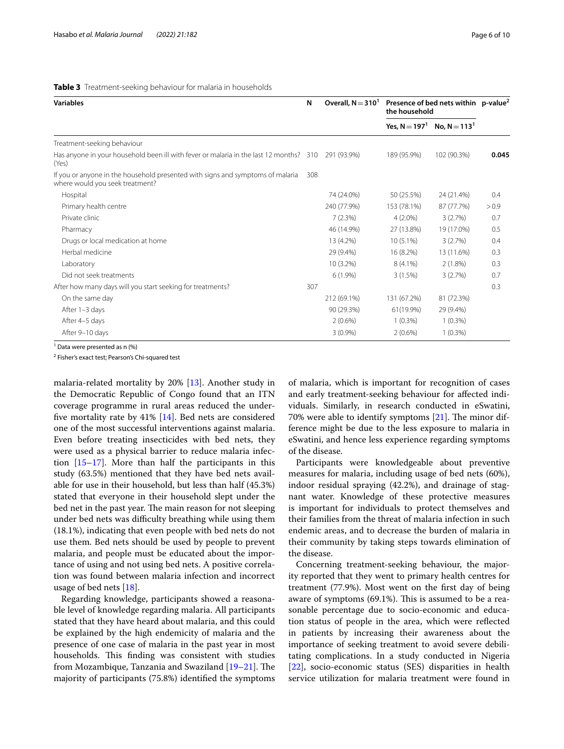<span id="page-5-0"></span>

| <b>Variables</b>                                                                                                  |     | Overall, $N = 3101$ | Presence of bed nets within p-value <sup>2</sup><br>the household |                 |       |
|-------------------------------------------------------------------------------------------------------------------|-----|---------------------|-------------------------------------------------------------------|-----------------|-------|
|                                                                                                                   |     |                     | Yes, $N = 197^1$                                                  | No, $N = 113^1$ |       |
| Treatment-seeking behaviour                                                                                       |     |                     |                                                                   |                 |       |
| Has anyone in your household been ill with fever or malaria in the last 12 months? 310<br>(Yes)                   |     | 291 (93.9%)         | 189 (95.9%)                                                       | 102 (90.3%)     | 0.045 |
| If you or anyone in the household presented with signs and symptoms of malaria<br>where would you seek treatment? | 308 |                     |                                                                   |                 |       |
| Hospital                                                                                                          |     | 74 (24.0%)          | 50 (25.5%)                                                        | 24 (21.4%)      | 0.4   |
| Primary health centre                                                                                             |     | 240 (77.9%)         | 153 (78.1%)                                                       | 87 (77.7%)      | > 0.9 |
| Private clinic                                                                                                    |     | 7(2.3%)             | $4(2.0\%)$                                                        | 3(2.7%)         | 0.7   |
| Pharmacy                                                                                                          |     | 46 (14.9%)          | 27 (13.8%)                                                        | 19 (17.0%)      | 0.5   |
| Drugs or local medication at home                                                                                 |     | 13 (4.2%)           | $10(5.1\%)$                                                       | 3(2.7%)         | 0.4   |
| Herbal medicine                                                                                                   |     | 29 (9.4%)           | 16 (8.2%)                                                         | 13 (11.6%)      | 0.3   |
| Laboratory                                                                                                        |     | 10 (3.2%)           | $8(4.1\%)$                                                        | $2(1.8\%)$      | 0.3   |
| Did not seek treatments                                                                                           |     | $6(1.9\%)$          | 3(1.5%)                                                           | 3(2.7%)         | 0.7   |
| After how many days will you start seeking for treatments?                                                        | 307 |                     |                                                                   |                 | 0.3   |
| On the same day                                                                                                   |     | 212 (69.1%)         | 131 (67.2%)                                                       | 81 (72.3%)      |       |
| After 1-3 days                                                                                                    |     | 90 (29.3%)          | 61(19.9%)                                                         | 29 (9.4%)       |       |
| After 4-5 days                                                                                                    |     | $2(0.6\%)$          | $1(0.3\%)$                                                        | $1(0.3\%)$      |       |
| After 9-10 days                                                                                                   |     | $3(0.9\%)$          | $2(0.6\%)$                                                        | $1(0.3\%)$      |       |

<sup>1</sup> Data were presented as n (%)

<sup>2</sup> Fisher's exact test; Pearson's Chi-squared test

malaria-related mortality by 20% [\[13](#page-8-10)]. Another study in the Democratic Republic of Congo found that an ITN coverage programme in rural areas reduced the underfve mortality rate by 41% [\[14](#page-8-11)]. Bed nets are considered one of the most successful interventions against malaria. Even before treating insecticides with bed nets, they were used as a physical barrier to reduce malaria infection [[15](#page-8-12)[–17](#page-8-13)]. More than half the participants in this study (63.5%) mentioned that they have bed nets available for use in their household, but less than half (45.3%) stated that everyone in their household slept under the bed net in the past year. The main reason for not sleeping under bed nets was difficulty breathing while using them (18.1%), indicating that even people with bed nets do not use them. Bed nets should be used by people to prevent malaria, and people must be educated about the importance of using and not using bed nets. A positive correlation was found between malaria infection and incorrect usage of bed nets [\[18](#page-8-14)].

Regarding knowledge, participants showed a reasonable level of knowledge regarding malaria. All participants stated that they have heard about malaria, and this could be explained by the high endemicity of malaria and the presence of one case of malaria in the past year in most households. This finding was consistent with studies from Mozambique, Tanzania and Swaziland  $[19-21]$  $[19-21]$  $[19-21]$ . The majority of participants (75.8%) identifed the symptoms of malaria, which is important for recognition of cases and early treatment-seeking behaviour for afected individuals. Similarly, in research conducted in eSwatini, 70% were able to identify symptoms  $[21]$  $[21]$ . The minor difference might be due to the less exposure to malaria in eSwatini, and hence less experience regarding symptoms of the disease.

Participants were knowledgeable about preventive measures for malaria, including usage of bed nets (60%), indoor residual spraying (42.2%), and drainage of stagnant water. Knowledge of these protective measures is important for individuals to protect themselves and their families from the threat of malaria infection in such endemic areas, and to decrease the burden of malaria in their community by taking steps towards elimination of the disease.

Concerning treatment-seeking behaviour, the majority reported that they went to primary health centres for treatment (77.9%). Most went on the frst day of being aware of symptoms (69.1%). This is assumed to be a reasonable percentage due to socio-economic and education status of people in the area, which were refected in patients by increasing their awareness about the importance of seeking treatment to avoid severe debilitating complications. In a study conducted in Nigeria [[22\]](#page-8-17), socio-economic status (SES) disparities in health service utilization for malaria treatment were found in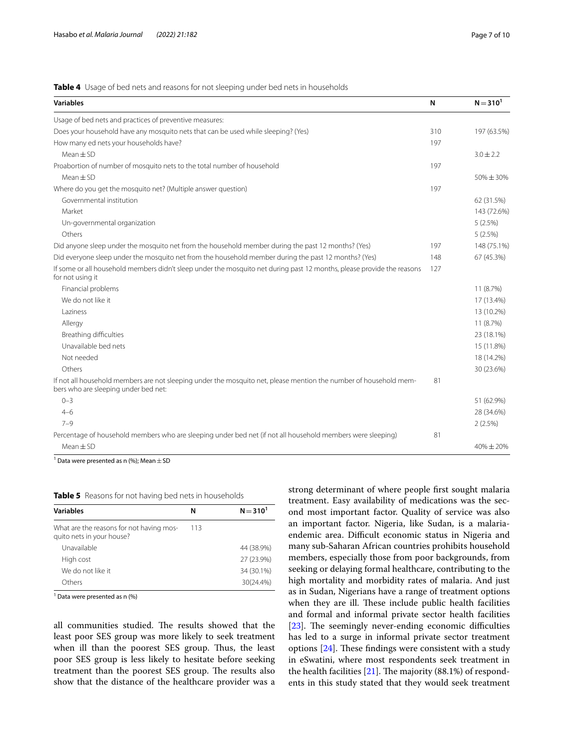## <span id="page-6-0"></span>**Table 4** Usage of bed nets and reasons for not sleeping under bed nets in households

| <b>Variables</b>                                                                                                                                          | N   | $N = 310^{1}$ |
|-----------------------------------------------------------------------------------------------------------------------------------------------------------|-----|---------------|
| Usage of bed nets and practices of preventive measures:                                                                                                   |     |               |
| Does your household have any mosquito nets that can be used while sleeping? (Yes)                                                                         | 310 | 197 (63.5%)   |
| How many ed nets your households have?                                                                                                                    | 197 |               |
| $Mean \pm SD$                                                                                                                                             |     | $3.0 \pm 2.2$ |
| Proabortion of number of mosquito nets to the total number of household                                                                                   | 197 |               |
| $Mean \pm SD$                                                                                                                                             |     | $50\% + 30\%$ |
| Where do you get the mosquito net? (Multiple answer question)                                                                                             | 197 |               |
| Governmental institution                                                                                                                                  |     | 62 (31.5%)    |
| Market                                                                                                                                                    |     | 143 (72.6%)   |
| Un-governmental organization                                                                                                                              |     | 5(2.5%)       |
| Others                                                                                                                                                    |     | 5(2.5%)       |
| Did anyone sleep under the mosquito net from the household member during the past 12 months? (Yes)                                                        | 197 | 148 (75.1%)   |
| Did everyone sleep under the mosquito net from the household member during the past 12 months? (Yes)                                                      | 148 | 67 (45.3%)    |
| If some or all household members didn't sleep under the mosquito net during past 12 months, please provide the reasons<br>for not using it                | 127 |               |
| Financial problems                                                                                                                                        |     | 11 (8.7%)     |
| We do not like it                                                                                                                                         |     | 17 (13.4%)    |
| Laziness                                                                                                                                                  |     | 13 (10.2%)    |
| Allergy                                                                                                                                                   |     | 11 (8.7%)     |
| Breathing difficulties                                                                                                                                    |     | 23 (18.1%)    |
| Unavailable bed nets                                                                                                                                      |     | 15 (11.8%)    |
| Not needed                                                                                                                                                |     | 18 (14.2%)    |
| Others                                                                                                                                                    |     | 30 (23.6%)    |
| If not all household members are not sleeping under the mosquito net, please mention the number of household mem-<br>bers who are sleeping under bed net: | 81  |               |
| $0 - 3$                                                                                                                                                   |     | 51 (62.9%)    |
| $4 - 6$                                                                                                                                                   |     | 28 (34.6%)    |
| $7 - 9$                                                                                                                                                   |     | 2(2.5%)       |
| Percentage of household members who are sleeping under bed net (if not all household members were sleeping)                                               | 81  |               |
| $Mean \pm SD$                                                                                                                                             |     | 40%±20%       |

<sup>1</sup> Data were presented as n (%); Mean  $\pm$  SD

<span id="page-6-1"></span>

|  |  |  |  | Table 5 Reasons for not having bed nets in households |
|--|--|--|--|-------------------------------------------------------|
|--|--|--|--|-------------------------------------------------------|

| <b>Variables</b>                                                      | N   | $N = 310^{1}$ |
|-----------------------------------------------------------------------|-----|---------------|
| What are the reasons for not having mos-<br>quito nets in your house? | 113 |               |
| Unavailable                                                           |     | 44 (38.9%)    |
| High cost                                                             |     | 27 (23.9%)    |
| We do not like it                                                     |     | 34 (30.1%)    |
| Others                                                                |     | 30(24.4%)     |

<sup>1</sup> Data were presented as n (%)

all communities studied. The results showed that the least poor SES group was more likely to seek treatment when ill than the poorest SES group. Thus, the least poor SES group is less likely to hesitate before seeking treatment than the poorest SES group. The results also show that the distance of the healthcare provider was a strong determinant of where people frst sought malaria treatment. Easy availability of medications was the second most important factor. Quality of service was also an important factor. Nigeria, like Sudan, is a malariaendemic area. Difficult economic status in Nigeria and many sub-Saharan African countries prohibits household members, especially those from poor backgrounds, from seeking or delaying formal healthcare, contributing to the high mortality and morbidity rates of malaria. And just as in Sudan, Nigerians have a range of treatment options when they are ill. These include public health facilities and formal and informal private sector health facilities  $[23]$  $[23]$ . The seemingly never-ending economic difficulties has led to a surge in informal private sector treatment options  $[24]$  $[24]$ . These findings were consistent with a study in eSwatini, where most respondents seek treatment in the health facilities  $[21]$ . The majority  $(88.1\%)$  of respondents in this study stated that they would seek treatment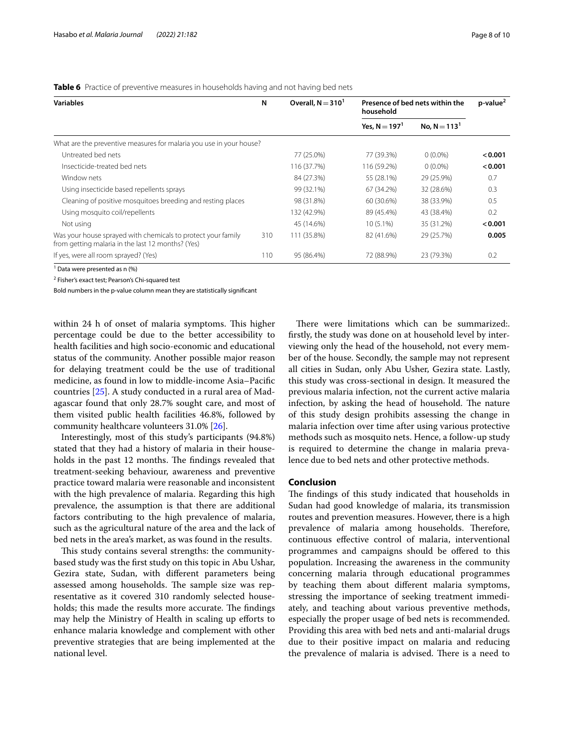<span id="page-7-0"></span>**Table 6** Practice of preventive measures in households having and not having bed nets

| <b>Variables</b>                                                                                                  | N   | Overall, $N = 3101$ | Presence of bed nets within the<br>household |                 | $p$ -value <sup>2</sup> |
|-------------------------------------------------------------------------------------------------------------------|-----|---------------------|----------------------------------------------|-----------------|-------------------------|
|                                                                                                                   |     |                     | Yes, $N = 197^1$                             | No. $N = 113^1$ |                         |
| What are the preventive measures for malaria you use in your house?                                               |     |                     |                                              |                 |                         |
| Untreated bed nets                                                                                                |     | 77 (25.0%)          | 77 (39.3%)                                   | $0(0.0\%)$      | < 0.001                 |
| Insecticide-treated bed nets                                                                                      |     | 116 (37.7%)         | 116 (59.2%)                                  | $0(0.0\%)$      | < 0.001                 |
| Window nets                                                                                                       |     | 84 (27.3%)          | 55 (28.1%)                                   | 29 (25.9%)      | 0.7                     |
| Using insecticide based repellents sprays                                                                         |     | 99 (32.1%)          | 67 (34.2%)                                   | 32 (28.6%)      | 0.3                     |
| Cleaning of positive mosquitoes breeding and resting places                                                       |     | 98 (31.8%)          | 60 (30.6%)                                   | 38 (33.9%)      | 0.5                     |
| Using mosquito coil/repellents                                                                                    |     | 132 (42.9%)         | 89 (45.4%)                                   | 43 (38.4%)      | 0.2                     |
| Not using                                                                                                         |     | 45 (14.6%)          | $10(5.1\%)$                                  | 35 (31.2%)      | < 0.001                 |
| Was your house sprayed with chemicals to protect your family<br>from getting malaria in the last 12 months? (Yes) | 310 | 111 (35.8%)         | 82 (41.6%)                                   | 29 (25.7%)      | 0.005                   |
| If yes, were all room sprayed? (Yes)                                                                              | 110 | 95 (86.4%)          | 72 (88.9%)                                   | 23 (79.3%)      | 0.2                     |

<sup>1</sup> Data were presented as n (%)

<sup>2</sup> Fisher's exact test; Pearson's Chi-squared test

Bold numbers in the p-value column mean they are statistically signifcant

within 24 h of onset of malaria symptoms. This higher percentage could be due to the better accessibility to health facilities and high socio-economic and educational status of the community. Another possible major reason for delaying treatment could be the use of traditional medicine, as found in low to middle-income Asia–Pacifc countries [[25](#page-8-20)]. A study conducted in a rural area of Madagascar found that only 28.7% sought care, and most of them visited public health facilities 46.8%, followed by community healthcare volunteers 31.0% [\[26](#page-9-0)].

Interestingly, most of this study's participants (94.8%) stated that they had a history of malaria in their households in the past 12 months. The findings revealed that treatment-seeking behaviour, awareness and preventive practice toward malaria were reasonable and inconsistent with the high prevalence of malaria. Regarding this high prevalence, the assumption is that there are additional factors contributing to the high prevalence of malaria, such as the agricultural nature of the area and the lack of bed nets in the area's market, as was found in the results.

This study contains several strengths: the communitybased study was the frst study on this topic in Abu Ushar, Gezira state, Sudan, with diferent parameters being assessed among households. The sample size was representative as it covered 310 randomly selected households; this made the results more accurate. The findings may help the Ministry of Health in scaling up eforts to enhance malaria knowledge and complement with other preventive strategies that are being implemented at the national level.

There were limitations which can be summarized:. frstly, the study was done on at household level by interviewing only the head of the household, not every member of the house. Secondly, the sample may not represent all cities in Sudan, only Abu Usher, Gezira state. Lastly, this study was cross-sectional in design. It measured the previous malaria infection, not the current active malaria infection, by asking the head of household. The nature of this study design prohibits assessing the change in malaria infection over time after using various protective methods such as mosquito nets. Hence, a follow-up study is required to determine the change in malaria prevalence due to bed nets and other protective methods.

## **Conclusion**

The findings of this study indicated that households in Sudan had good knowledge of malaria, its transmission routes and prevention measures. However, there is a high prevalence of malaria among households. Therefore, continuous efective control of malaria, interventional programmes and campaigns should be ofered to this population. Increasing the awareness in the community concerning malaria through educational programmes by teaching them about diferent malaria symptoms, stressing the importance of seeking treatment immediately, and teaching about various preventive methods, especially the proper usage of bed nets is recommended. Providing this area with bed nets and anti-malarial drugs due to their positive impact on malaria and reducing the prevalence of malaria is advised. There is a need to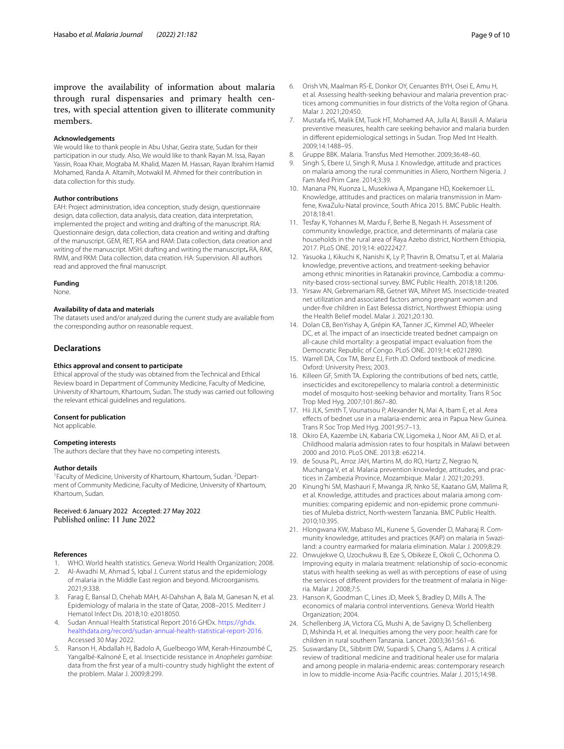improve the availability of information about malaria through rural dispensaries and primary health centres, with special attention given to illiterate community members.

### **Acknowledgements**

We would like to thank people in Abu Ushar, Gezira state, Sudan for their participation in our study. Also, We would like to thank Rayan M. Issa, Rayan Yassin, Roaa Khair, Mogtaba M. Khalid, Mazen M. Hassan, Rayan Ibrahim Hamid Mohamed, Randa A. Altamih, Motwakil M. Ahmed for their contribution in data collection for this study.

### **Author contributions**

EAH: Project administration, idea conception, study design, questionnaire design, data collection, data analysis, data creation, data interpretation, implemented the project and writing and drafting of the manuscript. RIA: Questionnaire design, data collection, data creation and writing and drafting of the manuscript. GEM, RET, RSA and RAM: Data collection, data creation and writing of the manuscript. MSH: drafting and writing the manuscript**.** RA, RAK, RMM, and RKM: Data collection, data creation. HA: Supervision. All authors read and approved the fnal manuscript.

## **Funding**

None.

## **Availability of data and materials**

The datasets used and/or analyzed during the current study are available from the corresponding author on reasonable request.

## **Declarations**

#### **Ethics approval and consent to participate**

Ethical approval of the study was obtained from the Technical and Ethical Review board in Department of Community Medicine, Faculty of Medicine, University of Khartoum, Khartoum, Sudan. The study was carried out following the relevant ethical guidelines and regulations.

## **Consent for publication**

Not applicable.

## **Competing interests**

The authors declare that they have no competing interests.

## **Author details**

<sup>1</sup> Faculty of Medicine, University of Khartoum, Khartoum, Sudan. <sup>2</sup> Department of Community Medicine, Faculty of Medicine, University of Khartoum, Khartoum, Sudan.

## Received: 6 January 2022 Accepted: 27 May 2022<br>Published online: 11 June 2022

### **References**

- <span id="page-8-0"></span>1. WHO. World health statistics. Geneva: World Health Organization; 2008.
- <span id="page-8-1"></span>2. Al-Awadhi M, Ahmad S, Iqbal J. Current status and the epidemiology of malaria in the Middle East region and beyond. Microorganisms. 2021;9:338.
- <span id="page-8-2"></span>3. Farag E, Bansal D, Chehab MAH, Al-Dahshan A, Bala M, Ganesan N, et al. Epidemiology of malaria in the state of Qatar, 2008–2015. Mediterr J Hematol Infect Dis. 2018;10: e2018050.
- <span id="page-8-3"></span>4. Sudan Annual Health Statistical Report 2016 GHDx. [https://ghdx.](https://ghdx.healthdata.org/record/sudan-annual-health-statistical-report-2016) [healthdata.org/record/sudan-annual-health-statistical-report-2016](https://ghdx.healthdata.org/record/sudan-annual-health-statistical-report-2016). Accessed 30 May 2022.
- <span id="page-8-4"></span>5. Ranson H, Abdallah H, Badolo A, Guelbeogo WM, Kerah-Hinzoumbé C, Yangalbé-Kalnoné E, et al. Insecticide resistance in *Anopheles gambiae*: data from the frst year of a multi-country study highlight the extent of the problem. Malar J. 2009;8:299.
- <span id="page-8-5"></span>6. Orish VN, Maalman RS-E, Donkor OY, Ceruantes BYH, Osei E, Amu H, et al. Assessing health-seeking behaviour and malaria prevention practices among communities in four districts of the Volta region of Ghana. Malar J. 2021;20:450.
- <span id="page-8-6"></span>7. Mustafa HS, Malik EM, Tuok HT, Mohamed AA, Julla AI, Bassili A. Malaria preventive measures, health care seeking behavior and malaria burden in diferent epidemiological settings in Sudan. Trop Med Int Health. 2009;14:1488–95.
- <span id="page-8-7"></span>8. Gruppe BBK. Malaria. Transfus Med Hemother. 2009;36:48–60.
- <span id="page-8-8"></span>9. Singh S, Ebere U, Singh R, Musa J. Knowledge, attitude and practices on malaria among the rural communities in Aliero, Northern Nigeria. J Fam Med Prim Care. 2014;3:39.
- 10. Manana PN, Kuonza L, Musekiwa A, Mpangane HD, Koekemoer LL. Knowledge, attitudes and practices on malaria transmission in Mamfene, KwaZulu-Natal province, South Africa 2015. BMC Public Health. 2018;18:41.
- 11. Tesfay K, Yohannes M, Mardu F, Berhe B, Negash H. Assessment of community knowledge, practice, and determinants of malaria case households in the rural area of Raya Azebo district, Northern Ethiopia, 2017. PLoS ONE. 2019;14: e0222427.
- <span id="page-8-9"></span>12. Yasuoka J, Kikuchi K, Nanishi K, Ly P, Thavrin B, Omatsu T, et al. Malaria knowledge, preventive actions, and treatment-seeking behavior among ethnic minorities in Ratanakiri province, Cambodia: a community-based cross-sectional survey. BMC Public Health. 2018;18:1206.
- <span id="page-8-10"></span>13. Yirsaw AN, Gebremariam RB, Getnet WA, Mihret MS. Insecticide-treated net utilization and associated factors among pregnant women and under-fve children in East Belessa district, Northwest Ethiopia: using the Health Belief model. Malar J. 2021;20:130.
- <span id="page-8-11"></span>14. Dolan CB, BenYishay A, Grépin KA, Tanner JC, Kimmel AD, Wheeler DC, et al. The impact of an insecticide treated bednet campaign on all-cause child mortality: a geospatial impact evaluation from the Democratic Republic of Congo. PLoS ONE. 2019;14: e0212890.
- <span id="page-8-12"></span>15. Warrell DA, Cox TM, Benz EJ, Firth JD. Oxford textbook of medicine. Oxford: University Press; 2003.
- 16. Killeen GF, Smith TA. Exploring the contributions of bed nets, cattle, insecticides and excitorepellency to malaria control: a deterministic model of mosquito host-seeking behavior and mortality. Trans R Soc Trop Med Hyg. 2007;101:867–80.
- <span id="page-8-13"></span>17. Hii JLK, Smith T, Vounatsou P, Alexander N, Mai A, Ibam E, et al. Area efects of bednet use in a malaria-endemic area in Papua New Guinea. Trans R Soc Trop Med Hyg. 2001;95:7–13.
- <span id="page-8-14"></span>18. Okiro EA, Kazembe LN, Kabaria CW, Ligomeka J, Noor AM, Ali D, et al. Childhood malaria admission rates to four hospitals in Malawi between 2000 and 2010. PLoS ONE. 2013;8: e62214.
- <span id="page-8-15"></span>19. de Sousa PL, Arroz JAH, Martins M, do RO, Hartz Z, Negrao N, Muchanga V, et al. Malaria prevention knowledge, attitudes, and practices in Zambezia Province, Mozambique. Malar J. 2021;20:293.
- 20 Kinung'hi SM, Mashauri F, Mwanga JR, Nnko SE, Kaatano GM, Malima R, et al. Knowledge, attitudes and practices about malaria among communities: comparing epidemic and non-epidemic prone communities of Muleba district, North-western Tanzania. BMC Public Health. 2010;10:395.
- <span id="page-8-16"></span>21. Hlongwana KW, Mabaso ML, Kunene S, Govender D, Maharaj R. Community knowledge, attitudes and practices (KAP) on malaria in Swaziland: a country earmarked for malaria elimination. Malar J. 2009;8:29.
- <span id="page-8-17"></span>22. Onwujekwe O, Uzochukwu B, Eze S, Obikeze E, Okoli C, Ochonma O. Improving equity in malaria treatment: relationship of socio-economic status with health seeking as well as with perceptions of ease of using the services of diferent providers for the treatment of malaria in Nigeria. Malar J. 2008;7:5.
- <span id="page-8-18"></span>23. Hanson K, Goodman C, Lines JD, Meek S, Bradley D, Mills A. The economics of malaria control interventions. Geneva: World Health Organization; 2004.
- <span id="page-8-19"></span>24. Schellenberg JA, Victora CG, Mushi A, de Savigny D, Schellenberg D, Mshinda H, et al. Inequities among the very poor: health care for children in rural southern Tanzania. Lancet. 2003;361:561–6.
- <span id="page-8-20"></span>25. Suswardany DL, Sibbritt DW, Supardi S, Chang S, Adams J. A critical review of traditional medicine and traditional healer use for malaria and among people in malaria-endemic areas: contemporary research in low to middle-income Asia-Pacifc countries. Malar J. 2015;14:98.